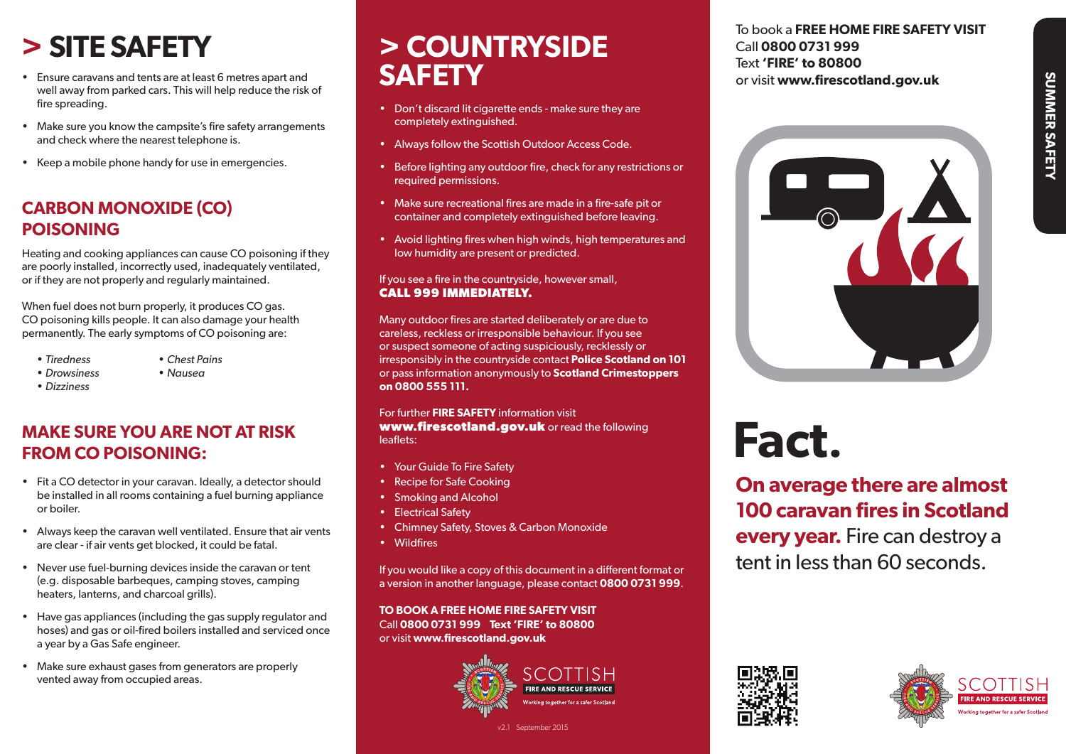# **SUMMER SAFETY SUMMER SAFETY**

# **> SITE SAFETY**

- • Ensure caravans and tents are at least 6 metres apart and well away from parked cars. This will help reduce the risk of fire spreading.
- Make sure you know the campsite's fire safety arrangements and check where the nearest telephone is.
- • Keep a mobile phone handy for use in emergencies.

#### **CARBON MONOXIDE (CO) POISONING**

Heating and cooking appliances can cause CO poisoning if they are poorly installed, incorrectly used, inadequately ventilated, or if they are not properly and regularly maintained.

When fuel does not burn properly, it produces CO gas. CO poisoning kills people. It can also damage your health permanently. The early symptoms of CO poisoning are:

- 
- *• Tiredness • Chest Pains*
- *• Drowsiness • Nausea*
- *• Dizziness*

#### **MAKE SURE YOU ARE NOT AT RISK FROM CO POISONING:**

- Fit a CO detector in your caravan. Ideally, a detector should be installed in all rooms containing a fuel burning appliance or boiler.
- • Always keep the caravan well ventilated. Ensure that air vents are clear - if air vents get blocked, it could be fatal.
- Never use fuel-burning devices inside the caravan or tent (e.g. disposable barbeques, camping stoves, camping heaters, lanterns, and charcoal grills).
- Have gas appliances (including the gas supply regulator and hoses) and gas or oil-fired boilers installed and serviced once a year by a Gas Safe engineer.
- Make sure exhaust gases from generators are properly vented away from occupied areas.

# **> COUNTRYSIDE SAFETY**

- Don't discard lit cigarette ends make sure they are completely extinguished.
- Always follow the Scottish Outdoor Access Code.
- Before lighting any outdoor fire, check for any restrictions or required permissions.
- Make sure recreational fires are made in a fire-safe pit or container and completely extinguished before leaving.
- Avoid lighting fires when high winds, high temperatures and low humidity are present or predicted.

#### If you see a fire in the countryside, however small, **CALL 999 IMMEDIATELY.**

Many outdoor fires are started deliberately or are due to careless, reckless or irresponsible behaviour. If you see or suspect someone of acting suspiciously, recklessly or irresponsibly in the countryside contact **Police Scotland on 101** or pass information anonymously to **Scotland Crimestoppers on 0800 555 111.**

For further **FIRE SAFETY** information visit **www.firescotland.gov.uk** or read the following leaflets:

- • Your Guide To Fire Safety
- Recipe for Safe Cooking
- • Smoking and Alcohol
- Electrical Safety
- • Chimney Safety, Stoves & Carbon Monoxide
- • Wildfires

If you would like a copy of this document in a different format or a version in another language, please contact **0800 0731 999**.

**TO BOOK A FREE HOME FIRE SAFETY VISIT** Call **0800 0731 999 Text 'FIRE' to 80800** or visit **www.firescotland.gov.uk**



To book a **FREE HOME FIRE SAFETY VISIT** Call **0800 0731 999** Text **'FIRE' to 80800**  or visit **www.firescotland.gov.uk**



**Fact.**

**On average there are almost 100 caravan fires in Scotland every year.** Fire can destroy a tent in less than 60 seconds.





v2.1 September 2015